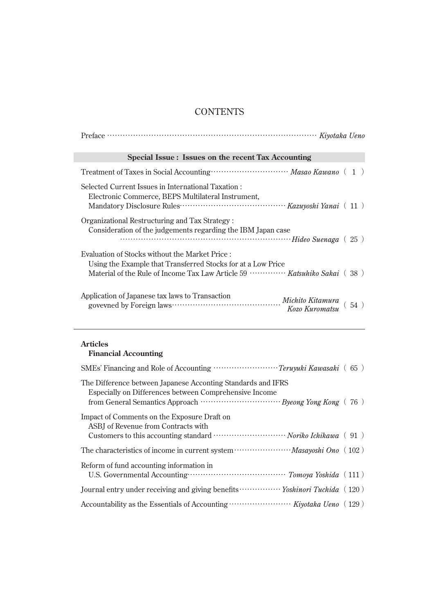## **CONTENTS**

| Special Issue: Issues on the recent Tax Accounting                                                                                                                                                                   |  |  |
|----------------------------------------------------------------------------------------------------------------------------------------------------------------------------------------------------------------------|--|--|
|                                                                                                                                                                                                                      |  |  |
| Selected Current Issues in International Taxation:<br>Electronic Commerce, BEPS Multilateral Instrument,                                                                                                             |  |  |
| Organizational Restructuring and Tax Strategy:<br>Consideration of the judgements regarding the IBM Japan case                                                                                                       |  |  |
| Evaluation of Stocks without the Market Price :<br>Using the Example that Transferred Stocks for at a Low Price<br>Material of the Rule of Income Tax Law Article 59 $\cdots$ $\cdots$ $\cdots$ Katsuhiko Sakai (38) |  |  |
| Application of Japanese tax laws to Transaction<br>govevned by Foreign laws contains action Michito Kitamura<br>Kozo Kuromatsu<br>(54)                                                                               |  |  |

## **Articles**

## **Financial Accounting**

| The Difference between Japanese Acconting Standards and IFRS<br>Especially on Differences between Comprehensive Income               |
|--------------------------------------------------------------------------------------------------------------------------------------|
| Impact of Comments on the Exposure Draft on<br>ASBI of Revenue from Contracts with                                                   |
|                                                                                                                                      |
| Reform of fund accounting information in<br>U.S. Governmental Accounting The Construction of the Constraints of Tomoya Yoshida (111) |
| Journal entry under receiving and giving benefits ······················ <i>Yoshinori Tuchida</i> (120)                              |
|                                                                                                                                      |